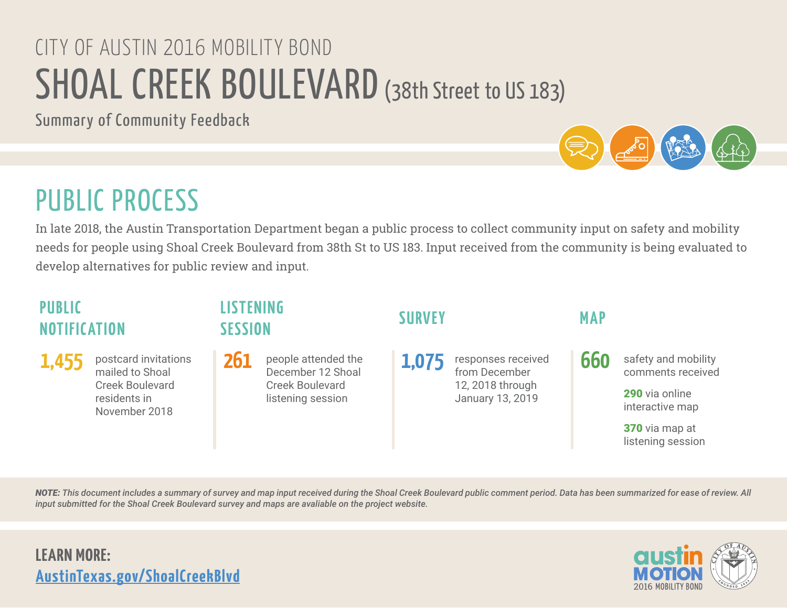# SHOAL CREEK BOULEVARD (38th Street to US 183) CITY OF AUSTIN 2016 MOBILITY BOND

Summary of Community Feedback

# PUBLIC PROCESS

In late 2018, the Austin Transportation Department began a public process to collect community input on safety and mobility needs for people using Shoal Creek Boulevard from 38th St to US 183. Input received from the community is being evaluated to develop alternatives for public review and input.

### **PIIRIIC NOTIFIC ATION**

postcard invitations mailed to Shoal Creek Boulevard residents in November 2018

### **LISTENING SESSION SURVEY MAP**

people attended the December 12 Shoal Creek Boulevard listening session

responses received from December 12, 2018 through January 13, 2019  $1,455$  postcard invitations 261 people attended the  $1,075$  responses received 660

safety and mobility comments received

290 via online interactive map

370 via map at listening session

*NOTE: This document includes a summary of survey and map input received during the Shoal Creek Boulevard public comment period. Data has been summarized for ease of review. All input submitted for the Shoal Creek Boulevard survey and maps are avaliable on the project website.*

## **LEARN MORE: [AustinTexas.gov/ShoalCreekBlvd](https://AustinTexas.gov/ShoalCreekBlvd)**

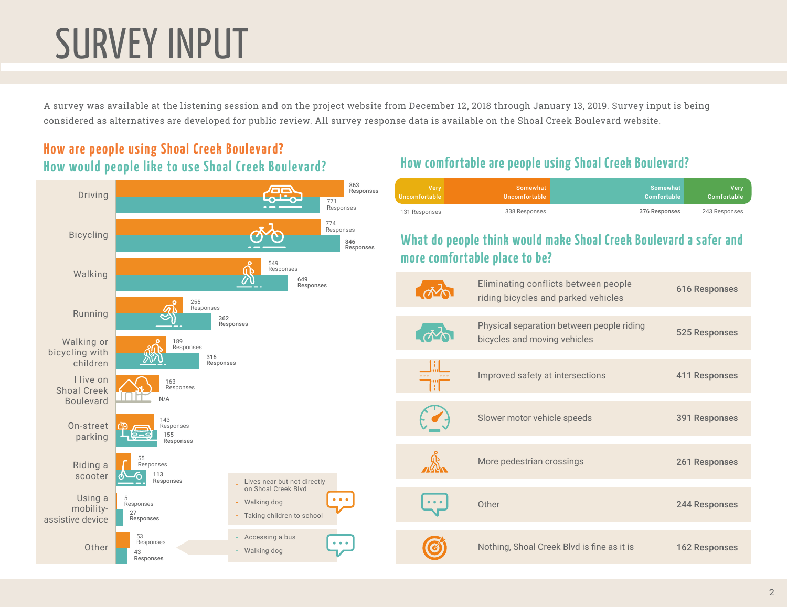# SURVEY INPUT

A survey was available at the listening session and on the project website from December 12, 2018 through January 13, 2019. Survey input is being considered as alternatives are developed for public review. All survey response data is available on the Shoal Creek Boulevard website.

**How comfortable are people using Shoal Creek Boulevard?**

### **How are people using Shoal Creek Boulevard? How would people like to use Shoal Creek Boulevard?**



Very Comfortable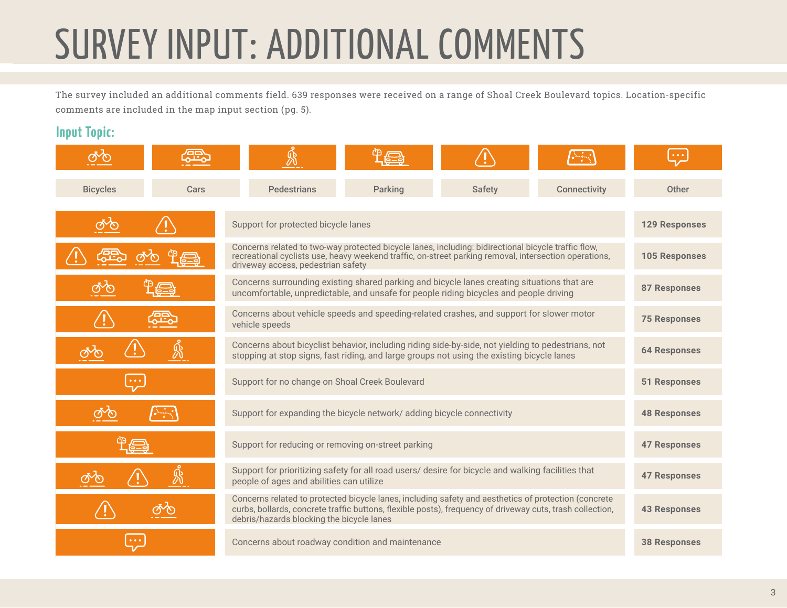# SURVEY INPUT: ADDITIONAL COMMENTS

The survey included an additional comments field. 639 responses were received on a range of Shoal Creek Boulevard topics. Location-specific comments are included in the map input section (pg. 5).

#### **Input Topic:**

| <b>Bicycles</b> | Cars                                                                                                       | <b>Pedestrians</b>                                                                                                                                                                                                                                             | Parking              | <b>Safety</b> | <b>Connectivity</b> | Other                |
|-----------------|------------------------------------------------------------------------------------------------------------|----------------------------------------------------------------------------------------------------------------------------------------------------------------------------------------------------------------------------------------------------------------|----------------------|---------------|---------------------|----------------------|
|                 |                                                                                                            | Support for protected bicycle lanes                                                                                                                                                                                                                            |                      |               |                     | <b>129 Responses</b> |
|                 |                                                                                                            | Concerns related to two-way protected bicycle lanes, including: bidirectional bicycle traffic flow,<br>recreational cyclists use, heavy weekend traffic, on-street parking removal, intersection operations,<br>driveway access, pedestrian safety             | <b>105 Responses</b> |               |                     |                      |
|                 |                                                                                                            | Concerns surrounding existing shared parking and bicycle lanes creating situations that are<br>uncomfortable, unpredictable, and unsafe for people riding bicycles and people driving                                                                          | <b>87 Responses</b>  |               |                     |                      |
|                 | Concerns about vehicle speeds and speeding-related crashes, and support for slower motor<br>vehicle speeds |                                                                                                                                                                                                                                                                |                      |               |                     |                      |
|                 | ℬ                                                                                                          | Concerns about bicyclist behavior, including riding side-by-side, not yielding to pedestrians, not<br>stopping at stop signs, fast riding, and large groups not using the existing bicycle lanes                                                               | <b>64 Responses</b>  |               |                     |                      |
| $\ddot{ }$      |                                                                                                            | Support for no change on Shoal Creek Boulevard                                                                                                                                                                                                                 | <b>51 Responses</b>  |               |                     |                      |
|                 |                                                                                                            | Support for expanding the bicycle network/ adding bicycle connectivity                                                                                                                                                                                         | <b>48 Responses</b>  |               |                     |                      |
|                 |                                                                                                            | Support for reducing or removing on-street parking                                                                                                                                                                                                             | <b>47 Responses</b>  |               |                     |                      |
|                 |                                                                                                            | Support for prioritizing safety for all road users/ desire for bicycle and walking facilities that<br>people of ages and abilities can utilize                                                                                                                 | <b>47 Responses</b>  |               |                     |                      |
|                 |                                                                                                            | Concerns related to protected bicycle lanes, including safety and aesthetics of protection (concrete<br>curbs, bollards, concrete traffic buttons, flexible posts), frequency of driveway cuts, trash collection,<br>debris/hazards blocking the bicycle lanes |                      |               |                     | <b>43 Responses</b>  |
|                 |                                                                                                            | Concerns about roadway condition and maintenance                                                                                                                                                                                                               | <b>38 Responses</b>  |               |                     |                      |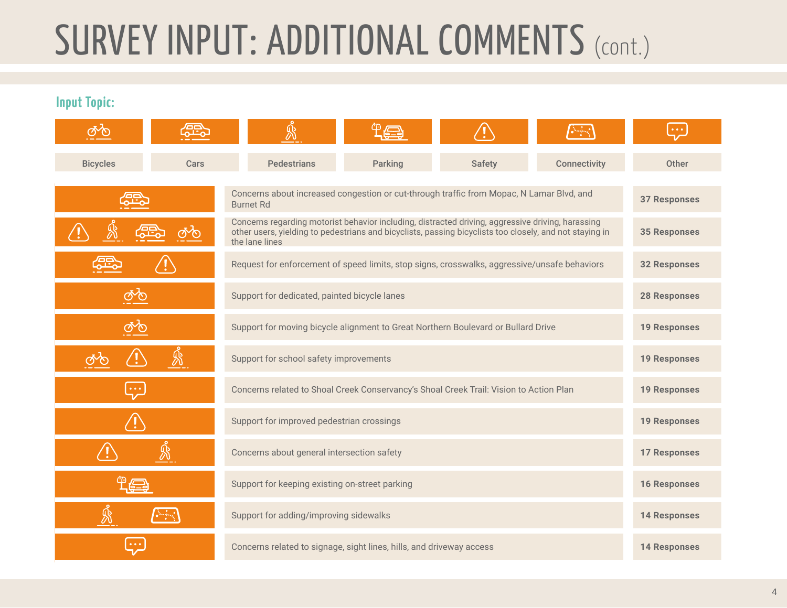# SURVEY INPUT: ADDITIONAL COMMENTS (CONT.)

**Input Topic:**

|                               |              | Ŵ                                                                                                                                                                                                                              |                     |        |                     | $\bullet$ $\bullet$ $\bullet$ |
|-------------------------------|--------------|--------------------------------------------------------------------------------------------------------------------------------------------------------------------------------------------------------------------------------|---------------------|--------|---------------------|-------------------------------|
| <b>Bicycles</b>               | Cars         | <b>Pedestrians</b>                                                                                                                                                                                                             | Parking             | Safety | <b>Connectivity</b> | Other                         |
|                               |              | Concerns about increased congestion or cut-through traffic from Mopac, N Lamar Blvd, and<br><b>Burnet Rd</b>                                                                                                                   | <b>37 Responses</b> |        |                     |                               |
|                               |              | Concerns regarding motorist behavior including, distracted driving, aggressive driving, harassing<br>other users, yielding to pedestrians and bicyclists, passing bicyclists too closely, and not staying in<br>the lane lines | <b>35 Responses</b> |        |                     |                               |
|                               |              | Request for enforcement of speed limits, stop signs, crosswalks, aggressive/unsafe behaviors                                                                                                                                   | <b>32 Responses</b> |        |                     |                               |
| ෯                             |              | Support for dedicated, painted bicycle lanes                                                                                                                                                                                   | <b>28 Responses</b> |        |                     |                               |
| ෯                             |              | Support for moving bicycle alignment to Great Northern Boulevard or Bullard Drive                                                                                                                                              | <b>19 Responses</b> |        |                     |                               |
| ෯                             | $\mathbb{R}$ | Support for school safety improvements                                                                                                                                                                                         | <b>19 Responses</b> |        |                     |                               |
| $\bullet$ $\bullet$ $\bullet$ |              | Concerns related to Shoal Creek Conservancy's Shoal Creek Trail: Vision to Action Plan                                                                                                                                         | <b>19 Responses</b> |        |                     |                               |
| /!`                           |              | Support for improved pedestrian crossings                                                                                                                                                                                      | <b>19 Responses</b> |        |                     |                               |
| Ŵ                             |              | Concerns about general intersection safety                                                                                                                                                                                     | <b>17 Responses</b> |        |                     |                               |
|                               |              | Support for keeping existing on-street parking                                                                                                                                                                                 | <b>16 Responses</b> |        |                     |                               |
| ℬ<br>$\epsilon$               |              | Support for adding/improving sidewalks                                                                                                                                                                                         | <b>14 Responses</b> |        |                     |                               |
|                               |              | Concerns related to signage, sight lines, hills, and driveway access                                                                                                                                                           | <b>14 Responses</b> |        |                     |                               |